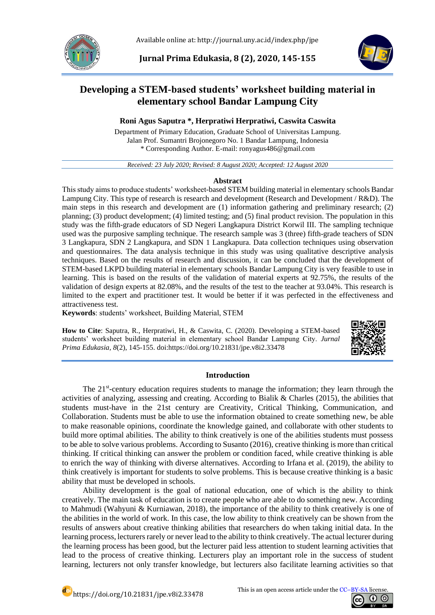

Available online at: http://journal.uny.ac.id/index.php/jpe

**Jurnal Prima Edukasia, 8 (2), 2020, 145-155**



# **Developing a STEM-based students' worksheet building material in elementary school Bandar Lampung City**

# **Roni Agus Saputra \*, Herpratiwi Herpratiwi, Caswita Caswita**

Department of Primary Education, Graduate School of Universitas Lampung. Jalan Prof. Sumantri Brojonegoro No. 1 Bandar Lampung, Indonesia \* Corresponding Author. E-mail: ronyagus486@gmail.com

*Received: 23 July 2020; Revised: 8 August 2020; Accepted: 12 August 2020*

# **Abstract**

This study aims to produce students' worksheet-based STEM building material in elementary schools Bandar Lampung City. This type of research is research and development (Research and Development / R&D). The main steps in this research and development are (1) information gathering and preliminary research; (2) planning; (3) product development; (4) limited testing; and (5) final product revision. The population in this study was the fifth-grade educators of SD Negeri Langkapura District Korwil III. The sampling technique used was the purposive sampling technique. The research sample was 3 (three) fifth-grade teachers of SDN 3 Langkapura, SDN 2 Langkapura, and SDN 1 Langkapura. Data collection techniques using observation and questionnaires. The data analysis technique in this study was using qualitative descriptive analysis techniques. Based on the results of research and discussion, it can be concluded that the development of STEM-based LKPD building material in elementary schools Bandar Lampung City is very feasible to use in learning. This is based on the results of the validation of material experts at 92.75%, the results of the validation of design experts at 82.08%, and the results of the test to the teacher at 93.04%. This research is limited to the expert and practitioner test. It would be better if it was perfected in the effectiveness and attractiveness test.

**Keywords**: students' worksheet, Building Material, STEM

**How to Cite**: Saputra, R., Herpratiwi, H., & Caswita, C. (2020). Developing a STEM-based students' worksheet building material in elementary school Bandar Lampung City. *Jurnal Prima Edukasia, 8*(2), 145-155. doi[:https://doi.org/10.21831/jpe.v8i2.33478](https://doi.org/10.21831/jpe.v8i2.33478)



# **Introduction**

The 21<sup>st</sup>-century education requires students to manage the information; they learn through the activities of analyzing, assessing and creating. According to Bialik & Charles (2015), the abilities that students must-have in the 21st century are Creativity, Critical Thinking, Communication, and Collaboration. Students must be able to use the information obtained to create something new, be able to make reasonable opinions, coordinate the knowledge gained, and collaborate with other students to build more optimal abilities. The ability to think creatively is one of the abilities students must possess to be able to solve various problems. According to Susanto (2016), creative thinking is more than critical thinking. If critical thinking can answer the problem or condition faced, while creative thinking is able to enrich the way of thinking with diverse alternatives. According to Irfana et al. (2019), the ability to think creatively is important for students to solve problems. This is because creative thinking is a basic ability that must be developed in schools.

Ability development is the goal of national education, one of which is the ability to think creatively. The main task of education is to create people who are able to do something new. According to Mahmudi (Wahyuni & Kurniawan, 2018), the importance of the ability to think creatively is one of the abilities in the world of work. In this case, the low ability to think creatively can be shown from the results of answers about creative thinking abilities that researchers do when taking initial data. In the learning process, lecturers rarely or never lead to the ability to think creatively. The actual lecturer during the learning process has been good, but the lecturer paid less attention to student learning activities that lead to the process of creative thinking. Lecturers play an important role in the success of student learning, lecturers not only transfer knowledge, but lecturers also facilitate learning activities so that

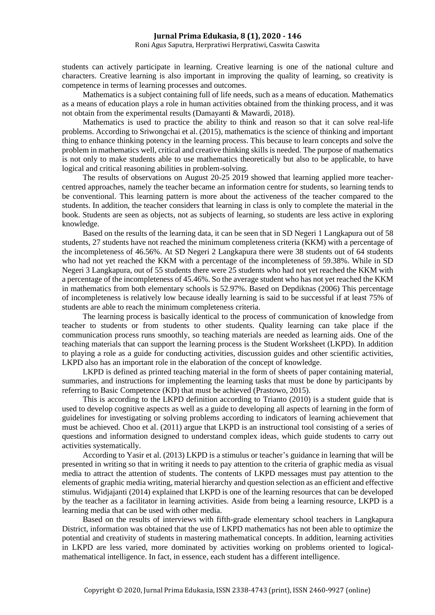Roni Agus Saputra, Herpratiwi Herpratiwi, Caswita Caswita

students can actively participate in learning. Creative learning is one of the national culture and characters. Creative learning is also important in improving the quality of learning, so creativity is competence in terms of learning processes and outcomes.

Mathematics is a subject containing full of life needs, such as a means of education. Mathematics as a means of education plays a role in human activities obtained from the thinking process, and it was not obtain from the experimental results (Damayanti & Mawardi, 2018).

Mathematics is used to practice the ability to think and reason so that it can solve real-life problems. According to Sriwongchai et al. (2015), mathematics is the science of thinking and important thing to enhance thinking potency in the learning process. This because to learn concepts and solve the problem in mathematics well, critical and creative thinking skills is needed*.* The purpose of mathematics is not only to make students able to use mathematics theoretically but also to be applicable, to have logical and critical reasoning abilities in problem-solving.

The results of observations on August 20-25 2019 showed that learning applied more teachercentred approaches, namely the teacher became an information centre for students, so learning tends to be conventional. This learning pattern is more about the activeness of the teacher compared to the students. In addition, the teacher considers that learning in class is only to complete the material in the book. Students are seen as objects, not as subjects of learning, so students are less active in exploring knowledge.

Based on the results of the learning data, it can be seen that in SD Negeri 1 Langkapura out of 58 students, 27 students have not reached the minimum completeness criteria (KKM) with a percentage of the incompleteness of 46.56%. At SD Negeri 2 Langkapura there were 38 students out of 64 students who had not yet reached the KKM with a percentage of the incompleteness of 59.38%. While in SD Negeri 3 Langkapura, out of 55 students there were 25 students who had not yet reached the KKM with a percentage of the incompleteness of 45.46%. So the average student who has not yet reached the KKM in mathematics from both elementary schools is 52.97%. Based on Depdiknas (2006) This percentage of incompleteness is relatively low because ideally learning is said to be successful if at least 75% of students are able to reach the minimum completeness criteria.

The learning process is basically identical to the process of communication of knowledge from teacher to students or from students to other students. Quality learning can take place if the communication process runs smoothly, so teaching materials are needed as learning aids. One of the teaching materials that can support the learning process is the Student Worksheet (LKPD). In addition to playing a role as a guide for conducting activities, discussion guides and other scientific activities, LKPD also has an important role in the elaboration of the concept of knowledge.

LKPD is defined as printed teaching material in the form of sheets of paper containing material, summaries, and instructions for implementing the learning tasks that must be done by participants by referring to Basic Competence (KD) that must be achieved (Prastowo, 2015).

This is according to the LKPD definition according to Trianto (2010) is a student guide that is used to develop cognitive aspects as well as a guide to developing all aspects of learning in the form of guidelines for investigating or solving problems according to indicators of learning achievement that must be achieved. Choo et al. (2011) argue that LKPD is an instructional tool consisting of a series of questions and information designed to understand complex ideas, which guide students to carry out activities systematically.

According to Yasir et al. (2013) LKPD is a stimulus or teacher's guidance in learning that will be presented in writing so that in writing it needs to pay attention to the criteria of graphic media as visual media to attract the attention of students. The contents of LKPD messages must pay attention to the elements of graphic media writing, material hierarchy and question selection as an efficient and effective stimulus. Widjajanti (2014) explained that LKPD is one of the learning resources that can be developed by the teacher as a facilitator in learning activities. Aside from being a learning resource, LKPD is a learning media that can be used with other media.

Based on the results of interviews with fifth-grade elementary school teachers in Langkapura District, information was obtained that the use of LKPD mathematics has not been able to optimize the potential and creativity of students in mastering mathematical concepts. In addition, learning activities in LKPD are less varied, more dominated by activities working on problems oriented to logicalmathematical intelligence. In fact, in essence, each student has a different intelligence.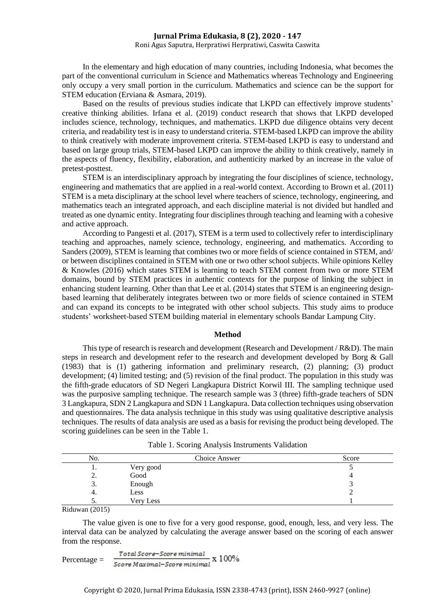## Roni Agus Saputra, Herpratiwi Herpratiwi, Caswita Caswita

In the elementary and high education of many countries, including Indonesia, what becomes the part of the conventional curriculum in Science and Mathematics whereas Technology and Engineering only occupy a very small portion in the curriculum. Mathematics and science can be the support for STEM education (Erviana & Asmara, 2019).

Based on the results of previous studies indicate that LKPD can effectively improve students' creative thinking abilities. Irfana et al. (2019) conduct research that shows that LKPD developed includes science, technology, techniques, and mathematics. LKPD due diligence obtains very decent criteria, and readability test is in easy to understand criteria. STEM-based LKPD can improve the ability to think creatively with moderate improvement criteria. STEM-based LKPD is easy to understand and based on large group trials, STEM-based LKPD can improve the ability to think creatively, namely in the aspects of fluency, flexibility, elaboration, and authenticity marked by an increase in the value of pretest-posttest.

STEM is an interdisciplinary approach by integrating the four disciplines of science, technology, engineering and mathematics that are applied in a real-world context. According to Brown et al. (2011) STEM is a meta disciplinary at the school level where teachers of science, technology, engineering, and mathematics teach an integrated approach, and each discipline material is not divided but handled and treated as one dynamic entity. Integrating four disciplines through teaching and learning with a cohesive and active approach.

According to Pangesti et al. (2017), STEM is a term used to collectively refer to interdisciplinary teaching and approaches, namely science, technology, engineering, and mathematics. According to Sanders (2009), STEM is learning that combines two or more fields of science contained in STEM, and/ or between disciplines contained in STEM with one or two other school subjects. While opinions Kelley & Knowles (2016) which states STEM is learning to teach STEM content from two or more STEM domains, bound by STEM practices in authentic contexts for the purpose of linking the subject in enhancing student learning. Other than that Lee et al. (2014) states that STEM is an engineering designbased learning that deliberately integrates between two or more fields of science contained in STEM and can expand its concepts to be integrated with other school subjects. This study aims to produce students' worksheet-based STEM building material in elementary schools Bandar Lampung City.

#### **Method**

This type of research is research and development (Research and Development / R&D). The main steps in research and development refer to the research and development developed by Borg & Gall (1983) that is (1) gathering information and preliminary research, (2) planning; (3) product development; (4) limited testing; and (5) revision of the final product. The population in this study was the fifth-grade educators of SD Negeri Langkapura District Korwil III. The sampling technique used was the purposive sampling technique. The research sample was 3 (three) fifth-grade teachers of SDN 3 Langkapura, SDN 2 Langkapura and SDN 1 Langkapura. Data collection techniques using observation and questionnaires. The data analysis technique in this study was using qualitative descriptive analysis techniques. The results of data analysis are used as a basis for revising the product being developed. The scoring guidelines can be seen in the Table 1.

|                      | No.      |           | Choice Answer | Score |
|----------------------|----------|-----------|---------------|-------|
|                      |          | Very good |               |       |
|                      | <u>.</u> | Good      |               |       |
|                      | J.       | Enough    |               |       |
|                      | ч.       | Less      |               |       |
|                      | J .      | Very Less |               |       |
| $\sim \cdot$ $\cdot$ | (0.01)   |           |               |       |

Table 1. Scoring Analysis Instruments Validation

Riduwan (2015)

The value given is one to five for a very good response, good, enough, less, and very less. The interval data can be analyzed by calculating the average answer based on the scoring of each answer from the response.

$$
Percentage = \frac{Total Score - Score \text{ minimal}}{Score \text{ Maximal} - Score \text{ minimal}} \times 100\%
$$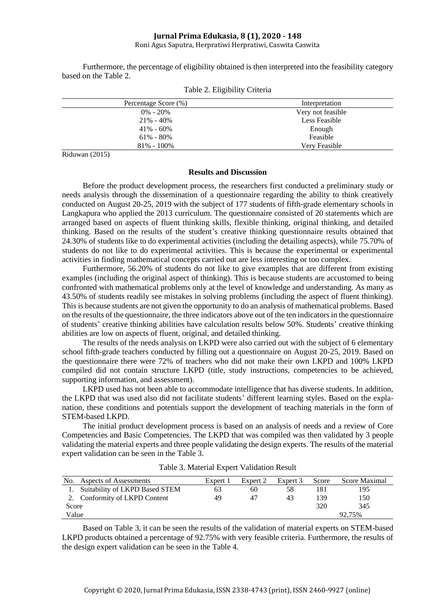Roni Agus Saputra, Herpratiwi Herpratiwi, Caswita Caswita

Furthermore, the percentage of eligibility obtained is then interpreted into the feasibility category based on the Table 2.

| Percentage Score (%) | Interpretation    |
|----------------------|-------------------|
| $0\% - 20\%$         | Very not feasible |
| $21\% - 40\%$        | Less Feasible     |
| $41\% - 60\%$        | Enough            |
| $61\% - 80\%$        | Feasible          |
| $81\% - 100\%$       | Very Feasible     |

Table 2. Eligibility Criteria

Riduwan (2015)

#### **Results and Discussion**

Before the product development process, the researchers first conducted a preliminary study or needs analysis through the dissemination of a questionnaire regarding the ability to think creatively conducted on August 20-25, 2019 with the subject of 177 students of fifth-grade elementary schools in Langkapura who applied the 2013 curriculum. The questionnaire consisted of 20 statements which are arranged based on aspects of fluent thinking skills, flexible thinking, original thinking, and detailed thinking. Based on the results of the student's creative thinking questionnaire results obtained that 24.30% of students like to do experimental activities (including the detailing aspects), while 75.70% of students do not like to do experimental activities. This is because the experimental or experimental activities in finding mathematical concepts carried out are less interesting or too complex.

Furthermore, 56.20% of students do not like to give examples that are different from existing examples (including the original aspect of thinking). This is because students are accustomed to being confronted with mathematical problems only at the level of knowledge and understanding. As many as 43.50% of students readily see mistakes in solving problems (including the aspect of fluent thinking). This is because students are not given the opportunity to do an analysis of mathematical problems. Based on the results of the questionnaire, the three indicators above out of the ten indicators in the questionnaire of students' creative thinking abilities have calculation results below 50%. Students' creative thinking abilities are low on aspects of fluent, original, and detailed thinking.

The results of the needs analysis on LKPD were also carried out with the subject of 6 elementary school fifth-grade teachers conducted by filling out a questionnaire on August 20-25, 2019. Based on the questionnaire there were 72% of teachers who did not make their own LKPD and 100% LKPD compiled did not contain structure LKPD (title, study instructions, competencies to be achieved, supporting information, and assessment).

LKPD used has not been able to accommodate intelligence that has diverse students. In addition, the LKPD that was used also did not facilitate students' different learning styles. Based on the explanation, these conditions and potentials support the development of teaching materials in the form of STEM-based LKPD.

The initial product development process is based on an analysis of needs and a review of Core Competencies and Basic Competencies. The LKPD that was compiled was then validated by 3 people validating the material experts and three people validating the design experts. The results of the material expert validation can be seen in the Table 3.

| No.   | Aspects of Assessments         | Expert 1 | Expert 2 | Expert 3 | Score | Score Maximal |
|-------|--------------------------------|----------|----------|----------|-------|---------------|
|       | Suitability of LKPD Based STEM | 63       | 60       | 58       | 181   | 195           |
|       | Conformity of LKPD Content     | 49       | 47       | 43       | 139   | 150           |
| Score |                                |          |          |          | 320   | 345           |
| Value |                                |          |          |          |       | 92.75%        |

Table 3. Material Expert Validation Result

Based on Table 3, it can be seen the results of the validation of material experts on STEM-based LKPD products obtained a percentage of 92.75% with very feasible criteria. Furthermore, the results of the design expert validation can be seen in the Table 4.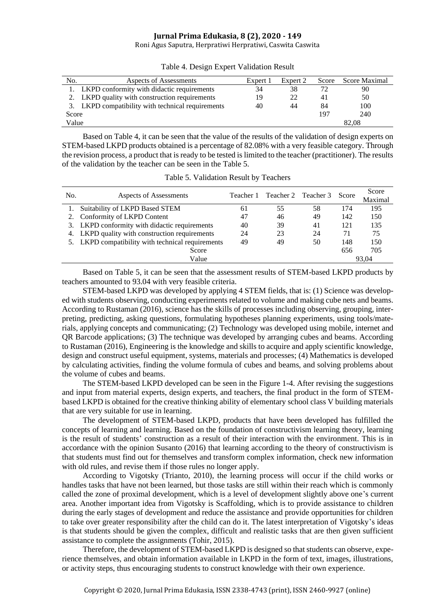Roni Agus Saputra, Herpratiwi Herpratiwi, Caswita Caswita

| No.   | Aspects of Assessments                            | Expert 1 | Expert 2 | Score | Score Maximal |  |
|-------|---------------------------------------------------|----------|----------|-------|---------------|--|
|       | 1. LKPD conformity with didactic requirements     |          | 38       |       | 90            |  |
|       | 2. LKPD quality with construction requirements    |          | 22       | 41    | 50            |  |
|       | 3. LKPD compatibility with technical requirements |          | 44       | 84    | 100           |  |
| Score |                                                   |          |          | 197   | 240           |  |
| Value |                                                   |          |          | 82.08 |               |  |

Table 4. Design Expert Validation Result

Based on Table 4, it can be seen that the value of the results of the validation of design experts on STEM-based LKPD products obtained is a percentage of 82.08% with a very feasible category. Through the revision process, a product that is ready to be tested is limited to the teacher (practitioner). The results of the validation by the teacher can be seen in the Table 5.

| Table 5. Validation Result by Teachers |  |
|----------------------------------------|--|
|                                        |  |

| No.   | Aspects of Assessments                            | Teacher 1 |    | Teacher 2 Teacher 3 | Score | Score<br>Maximal |
|-------|---------------------------------------------------|-----------|----|---------------------|-------|------------------|
|       | Suitability of LKPD Based STEM                    | 61        | 55 | 58                  | 174   | 195              |
|       | Conformity of LKPD Content                        | 47        | 46 | 49                  | 142   | 150              |
|       | 3. LKPD conformity with didactic requirements     | 40        | 39 | 41                  | 121   | 135              |
|       | 4. LKPD quality with construction requirements    | 24        | 23 | 24                  | 71    | 75               |
|       | 5. LKPD compatibility with technical requirements | 49        | 49 | 50                  | 148   | 150              |
|       | Score                                             |           |    |                     | 656   | 705              |
| Value |                                                   |           |    |                     | 93.04 |                  |

Based on Table 5, it can be seen that the assessment results of STEM-based LKPD products by teachers amounted to 93.04 with very feasible criteria.

STEM-based LKPD was developed by applying 4 STEM fields, that is: (1) Science was developed with students observing, conducting experiments related to volume and making cube nets and beams. According to Rustaman (2016), science has the skills of processes including observing, grouping, interpreting, predicting, asking questions, formulating hypotheses planning experiments, using tools/materials, applying concepts and communicating; (2) Technology was developed using mobile, internet and QR Barcode applications; (3) The technique was developed by arranging cubes and beams. According to Rustaman (2016), Engineering is the knowledge and skills to acquire and apply scientific knowledge, design and construct useful equipment, systems, materials and processes; (4) Mathematics is developed by calculating activities, finding the volume formula of cubes and beams, and solving problems about the volume of cubes and beams.

The STEM-based LKPD developed can be seen in the Figure 1-4. After revising the suggestions and input from material experts, design experts, and teachers, the final product in the form of STEMbased LKPD is obtained for the creative thinking ability of elementary school class V building materials that are very suitable for use in learning.

The development of STEM-based LKPD, products that have been developed has fulfilled the concepts of learning and learning. Based on the foundation of constructivism learning theory, learning is the result of students' construction as a result of their interaction with the environment. This is in accordance with the opinion Susanto (2016) that learning according to the theory of constructivism is that students must find out for themselves and transform complex information, check new information with old rules, and revise them if those rules no longer apply.

According to Vigotsky (Trianto, 2010), the learning process will occur if the child works or handles tasks that have not been learned, but those tasks are still within their reach which is commonly called the zone of proximal development, which is a level of development slightly above one's current area. Another important idea from Vigotsky is Scaffolding, which is to provide assistance to children during the early stages of development and reduce the assistance and provide opportunities for children to take over greater responsibility after the child can do it. The latest interpretation of Vigotsky's ideas is that students should be given the complex, difficult and realistic tasks that are then given sufficient assistance to complete the assignments (Tohir, 2015).

Therefore, the development of STEM-based LKPD is designed so that students can observe, experience themselves, and obtain information available in LKPD in the form of text, images, illustrations, or activity steps, thus encouraging students to construct knowledge with their own experience.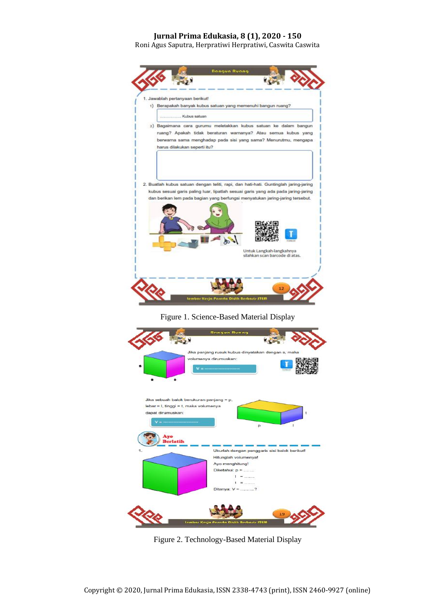Roni Agus Saputra, Herpratiwi Herpratiwi, Caswita Caswita



Figure 1. Science-Based Material Display



Figure 2. Technology-Based Material Display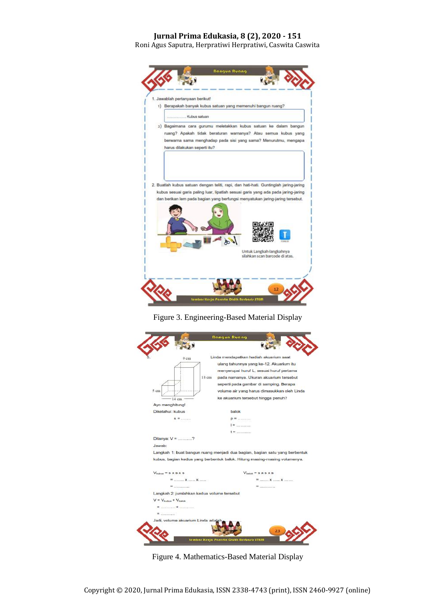Roni Agus Saputra, Herpratiwi Herpratiwi, Caswita Caswita







Figure 4. Mathematics-Based Material Display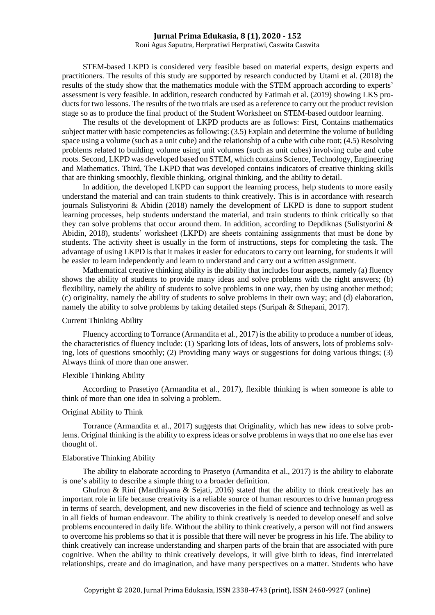Roni Agus Saputra, Herpratiwi Herpratiwi, Caswita Caswita

STEM-based LKPD is considered very feasible based on material experts, design experts and practitioners. The results of this study are supported by research conducted by Utami et al. (2018) the results of the study show that the mathematics module with the STEM approach according to experts' assessment is very feasible. In addition, research conducted by Fatimah et al. (2019) showing LKS products for two lessons. The results of the two trials are used as a reference to carry out the product revision stage so as to produce the final product of the Student Worksheet on STEM-based outdoor learning.

The results of the development of LKPD products are as follows: First, Contains mathematics subject matter with basic competencies as following: (3.5) Explain and determine the volume of building space using a volume (such as a unit cube) and the relationship of a cube with cube root; (4.5) Resolving problems related to building volume using unit volumes (such as unit cubes) involving cube and cube roots. Second, LKPD was developed based on STEM, which contains Science, Technology, Engineering and Mathematics. Third, The LKPD that was developed contains indicators of creative thinking skills that are thinking smoothly, flexible thinking, original thinking, and the ability to detail.

In addition, the developed LKPD can support the learning process, help students to more easily understand the material and can train students to think creatively. This is in accordance with research journals Sulistyorini & Abidin (2018) namely the development of LKPD is done to support student learning processes, help students understand the material, and train students to think critically so that they can solve problems that occur around them. In addition, according to Depdiknas (Sulistyorini & Abidin, 2018), students' worksheet (LKPD) are sheets containing assignments that must be done by students. The activity sheet is usually in the form of instructions, steps for completing the task. The advantage of using LKPD is that it makes it easier for educators to carry out learning, for students it will be easier to learn independently and learn to understand and carry out a written assignment.

Mathematical creative thinking ability is the ability that includes four aspects, namely (a) fluency shows the ability of students to provide many ideas and solve problems with the right answers; (b) flexibility, namely the ability of students to solve problems in one way, then by using another method; (c) originality, namely the ability of students to solve problems in their own way; and (d) elaboration, namely the ability to solve problems by taking detailed steps (Suripah & Sthepani, 2017).

## Current Thinking Ability

Fluency according to Torrance (Armandita et al., 2017) is the ability to produce a number of ideas, the characteristics of fluency include: (1) Sparking lots of ideas, lots of answers, lots of problems solving, lots of questions smoothly; (2) Providing many ways or suggestions for doing various things; (3) Always think of more than one answer.

# Flexible Thinking Ability

According to Prasetiyo (Armandita et al., 2017), flexible thinking is when someone is able to think of more than one idea in solving a problem.

## Original Ability to Think

Torrance (Armandita et al., 2017) suggests that Originality, which has new ideas to solve problems. Original thinking is the ability to express ideas or solve problems in ways that no one else has ever thought of.

## Elaborative Thinking Ability

The ability to elaborate according to Prasetyo (Armandita et al., 2017) is the ability to elaborate is one's ability to describe a simple thing to a broader definition.

Ghufron & Rini (Mardhiyana & Sejati, 2016) stated that the ability to think creatively has an important role in life because creativity is a reliable source of human resources to drive human progress in terms of search, development, and new discoveries in the field of science and technology as well as in all fields of human endeavour. The ability to think creatively is needed to develop oneself and solve problems encountered in daily life. Without the ability to think creatively, a person will not find answers to overcome his problems so that it is possible that there will never be progress in his life. The ability to think creatively can increase understanding and sharpen parts of the brain that are associated with pure cognitive. When the ability to think creatively develops, it will give birth to ideas, find interrelated relationships, create and do imagination, and have many perspectives on a matter. Students who have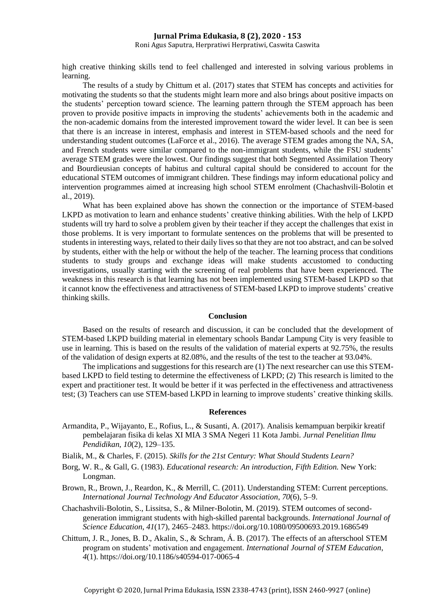Roni Agus Saputra, Herpratiwi Herpratiwi, Caswita Caswita

high creative thinking skills tend to feel challenged and interested in solving various problems in learning.

The results of a study by Chittum et al. (2017) states that STEM has concepts and activities for motivating the students so that the students might learn more and also brings about positive impacts on the students' perception toward science. The learning pattern through the STEM approach has been proven to provide positive impacts in improving the students' achievements both in the academic and the non-academic domains from the interested improvement toward the wider level. It can bee is seen that there is an increase in interest, emphasis and interest in STEM-based schools and the need for understanding student outcomes (LaForce et al., 2016). The average STEM grades among the NA, SA, and French students were similar compared to the non-immigrant students, while the FSU students' average STEM grades were the lowest. Our findings suggest that both Segmented Assimilation Theory and Bourdieusian concepts of habitus and cultural capital should be considered to account for the educational STEM outcomes of immigrant children. These findings may inform educational policy and intervention programmes aimed at increasing high school STEM enrolment (Chachashvili-Bolotin et al., 2019).

What has been explained above has shown the connection or the importance of STEM-based LKPD as motivation to learn and enhance students' creative thinking abilities. With the help of LKPD students will try hard to solve a problem given by their teacher if they accept the challenges that exist in those problems. It is very important to formulate sentences on the problems that will be presented to students in interesting ways, related to their daily lives so that they are not too abstract, and can be solved by students, either with the help or without the help of the teacher. The learning process that conditions students to study groups and exchange ideas will make students accustomed to conducting investigations, usually starting with the screening of real problems that have been experienced. The weakness in this research is that learning has not been implemented using STEM-based LKPD so that it cannot know the effectiveness and attractiveness of STEM-based LKPD to improve students' creative thinking skills.

## **Conclusion**

Based on the results of research and discussion, it can be concluded that the development of STEM-based LKPD building material in elementary schools Bandar Lampung City is very feasible to use in learning. This is based on the results of the validation of material experts at 92.75%, the results of the validation of design experts at 82.08%, and the results of the test to the teacher at 93.04%.

The implications and suggestions for this research are (1) The next researcher can use this STEMbased LKPD to field testing to determine the effectiveness of LKPD; (2) This research is limited to the expert and practitioner test. It would be better if it was perfected in the effectiveness and attractiveness test; (3) Teachers can use STEM-based LKPD in learning to improve students' creative thinking skills.

#### **References**

- Armandita, P., Wijayanto, E., Rofius, L., & Susanti, A. (2017). Analisis kemampuan berpikir kreatif pembelajaran fisika di kelas XI MIA 3 SMA Negeri 11 Kota Jambi. *Jurnal Penelitian Ilmu Pendidikan*, *10*(2), 129–135.
- Bialik, M., & Charles, F. (2015). *Skills for the 21st Century: What Should Students Learn?*
- Borg, W. R., & Gall, G. (1983). *Educational research: An introduction, Fifth Edition.* New York: Longman.
- Brown, R., Brown, J., Reardon, K., & Merrill, C. (2011). Understanding STEM: Current perceptions. *International Journal Technology And Educator Association*, *70*(6), 5–9.
- Chachashvili-Bolotin, S., Lissitsa, S., & Milner-Bolotin, M. (2019). STEM outcomes of secondgeneration immigrant students with high-skilled parental backgrounds. *International Journal of Science Education*, *41*(17), 2465–2483. https://doi.org/10.1080/09500693.2019.1686549
- Chittum, J. R., Jones, B. D., Akalin, S., & Schram, Á. B. (2017). The effects of an afterschool STEM program on students' motivation and engagement. *International Journal of STEM Education*, *4*(1). https://doi.org/10.1186/s40594-017-0065-4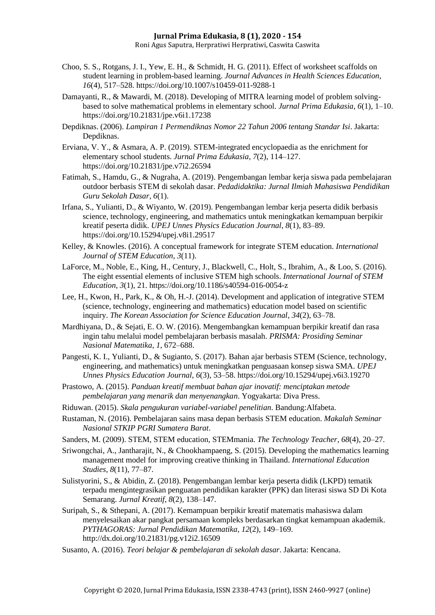### **Jurnal Prima Edukasia, 8 (1), 2020 - 154** Roni Agus Saputra, Herpratiwi Herpratiwi, Caswita Caswita

- Choo, S. S., Rotgans, J. I., Yew, E. H., & Schmidt, H. G. (2011). Effect of worksheet scaffolds on student learning in problem-based learning. *Journal Advances in Health Sciences Education*, *16*(4), 517–528. https://doi.org/10.1007/s10459-011-9288-1
- Damayanti, R., & Mawardi, M. (2018). Developing of MITRA learning model of problem solvingbased to solve mathematical problems in elementary school. *Jurnal Prima Edukasia*, *6*(1), 1–10. https://doi.org/10.21831/jpe.v6i1.17238
- Depdiknas. (2006). *Lampiran 1 Permendiknas Nomor 22 Tahun 2006 tentang Standar Isi*. Jakarta: Depdiknas.
- Erviana, V. Y., & Asmara, A. P. (2019). STEM-integrated encyclopaedia as the enrichment for elementary school students. *Jurnal Prima Edukasia*, *7*(2), 114–127. https://doi.org/10.21831/jpe.v7i2.26594
- Fatimah, S., Hamdu, G., & Nugraha, A. (2019). Pengembangan lembar kerja siswa pada pembelajaran outdoor berbasis STEM di sekolah dasar. *Pedadidaktika: Jurnal Ilmiah Mahasiswa Pendidikan Guru Sekolah Dasar*, *6*(1).
- Irfana, S., Yulianti, D., & Wiyanto, W. (2019). Pengembangan lembar kerja peserta didik berbasis science, technology, engineering, and mathematics untuk meningkatkan kemampuan berpikir kreatif peserta didik. *UPEJ Unnes Physics Education Journal*, *8*(1), 83–89. https://doi.org/10.15294/upej.v8i1.29517
- Kelley, & Knowles. (2016). A conceptual framework for integrate STEM education. *International Journal of STEM Education*, *3*(11).
- LaForce, M., Noble, E., King, H., Century, J., Blackwell, C., Holt, S., Ibrahim, A., & Loo, S. (2016). The eight essential elements of inclusive STEM high schools. *International Journal of STEM Education*, *3*(1), 21. https://doi.org/10.1186/s40594-016-0054-z
- Lee, H., Kwon, H., Park, K., & Oh, H.-J. (2014). Development and application of integrative STEM (science, technology, engineering and mathematics) education model based on scientific inquiry. *The Korean Association for Science Education Journal*, *34*(2), 63–78.
- Mardhiyana, D., & Sejati, E. O. W. (2016). Mengembangkan kemampuan berpikir kreatif dan rasa ingin tahu melalui model pembelajaran berbasis masalah. *PRISMA: Prosiding Seminar Nasional Matematika*, *1*, 672–688.
- Pangesti, K. I., Yulianti, D., & Sugianto, S. (2017). Bahan ajar berbasis STEM (Science, technology, engineering, and mathematics) untuk meningkatkan penguasaan konsep siswa SMA. *UPEJ Unnes Physics Education Journal*, *6*(3), 53–58. https://doi.org/10.15294/upej.v6i3.19270
- Prastowo, A. (2015). *Panduan kreatif membuat bahan ajar inovatif: menciptakan metode pembelajaran yang menarik dan menyenangkan*. Yogyakarta: Diva Press.
- Riduwan. (2015). *Skala pengukuran variabel-variabel penelitian*. Bandung:Alfabeta.
- Rustaman, N. (2016). Pembelajaran sains masa depan berbasis STEM education. *Makalah Seminar Nasional STKIP PGRI Sumatera Barat*.
- Sanders, M. (2009). STEM, STEM education, STEMmania. *The Technology Teacher*, *68*(4), 20–27.
- Sriwongchai, A., Jantharajit, N., & Chookhampaeng, S. (2015). Developing the mathematics learning management model for improving creative thinking in Thailand. *International Education Studies*, *8*(11), 77–87.
- Sulistyorini, S., & Abidin, Z. (2018). Pengembangan lembar kerja peserta didik (LKPD) tematik terpadu mengintegrasikan penguatan pendidikan karakter (PPK) dan literasi siswa SD Di Kota Semarang. *Jurnal Kreatif*, *8*(2), 138–147.
- Suripah, S., & Sthepani, A. (2017). Kemampuan berpikir kreatif matematis mahasiswa dalam menyelesaikan akar pangkat persamaan kompleks berdasarkan tingkat kemampuan akademik. *PYTHAGORAS: Jurnal Pendidikan Matematika*, *12*(2), 149–169. http://dx.doi.org/10.21831/pg.v12i2.16509
- Susanto, A. (2016). *Teori belajar & pembelajaran di sekolah dasar*. Jakarta: Kencana.